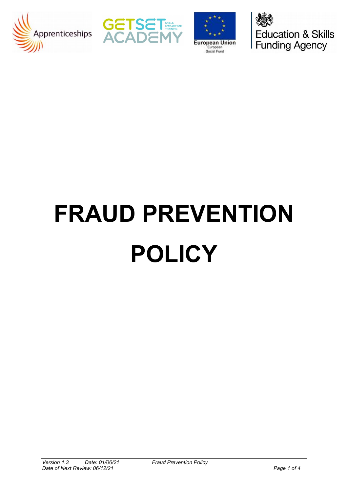







# **FRAUD PREVENTION POLICY**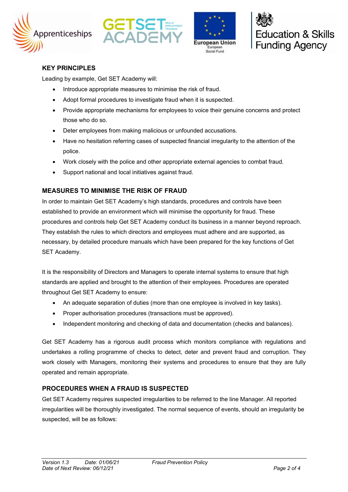







### **KEY PRINCIPLES**

Leading by example, Get SET Academy will:

- Introduce appropriate measures to minimise the risk of fraud.
- Adopt formal procedures to investigate fraud when it is suspected.
- Provide appropriate mechanisms for employees to voice their genuine concerns and protect those who do so.
- Deter employees from making malicious or unfounded accusations.
- Have no hesitation referring cases of suspected financial irregularity to the attention of the police.
- Work closely with the police and other appropriate external agencies to combat fraud.
- Support national and local initiatives against fraud.

# **MEASURES TO MINIMISE THE RISK OF FRAUD**

In order to maintain Get SET Academy's high standards, procedures and controls have been established to provide an environment which will minimise the opportunity for fraud. These procedures and controls help Get SET Academy conduct its business in a manner beyond reproach. They establish the rules to which directors and employees must adhere and are supported, as necessary, by detailed procedure manuals which have been prepared for the key functions of Get SET Academy.

It is the responsibility of Directors and Managers to operate internal systems to ensure that high standards are applied and brought to the attention of their employees. Procedures are operated throughout Get SET Academy to ensure:

- An adequate separation of duties (more than one employee is involved in key tasks).
- Proper authorisation procedures (transactions must be approved).
- Independent monitoring and checking of data and documentation (checks and balances).

Get SET Academy has a rigorous audit process which monitors compliance with regulations and undertakes a rolling programme of checks to detect, deter and prevent fraud and corruption. They work closely with Managers, monitoring their systems and procedures to ensure that they are fully operated and remain appropriate.

### **PROCEDURES WHEN A FRAUD IS SUSPECTED**

Get SET Academy requires suspected irregularities to be referred to the line Manager. All reported irregularities will be thoroughly investigated. The normal sequence of events, should an irregularity be suspected, will be as follows: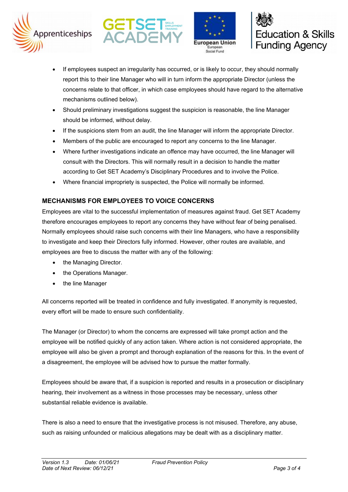







- If employees suspect an irregularity has occurred, or is likely to occur, they should normally report this to their line Manager who will in turn inform the appropriate Director (unless the concerns relate to that officer, in which case employees should have regard to the alternative mechanisms outlined below).
- Should preliminary investigations suggest the suspicion is reasonable, the line Manager should be informed, without delay.
- If the suspicions stem from an audit, the line Manager will inform the appropriate Director.
- Members of the public are encouraged to report any concerns to the line Manager.
- Where further investigations indicate an offence may have occurred, the line Manager will consult with the Directors. This will normally result in a decision to handle the matter according to Get SET Academy's Disciplinary Procedures and to involve the Police.
- Where financial impropriety is suspected, the Police will normally be informed.

# **MECHANISMS FOR EMPLOYEES TO VOICE CONCERNS**

Employees are vital to the successful implementation of measures against fraud. Get SET Academy therefore encourages employees to report any concerns they have without fear of being penalised. Normally employees should raise such concerns with their line Managers, who have a responsibility to investigate and keep their Directors fully informed. However, other routes are available, and employees are free to discuss the matter with any of the following:

- the Managing Director.
- the Operations Manager.
- the line Manager

All concerns reported will be treated in confidence and fully investigated. If anonymity is requested, every effort will be made to ensure such confidentiality.

The Manager (or Director) to whom the concerns are expressed will take prompt action and the employee will be notified quickly of any action taken. Where action is not considered appropriate, the employee will also be given a prompt and thorough explanation of the reasons for this. In the event of a disagreement, the employee will be advised how to pursue the matter formally.

Employees should be aware that, if a suspicion is reported and results in a prosecution or disciplinary hearing, their involvement as a witness in those processes may be necessary, unless other substantial reliable evidence is available.

There is also a need to ensure that the investigative process is not misused. Therefore, any abuse, such as raising unfounded or malicious allegations may be dealt with as a disciplinary matter.